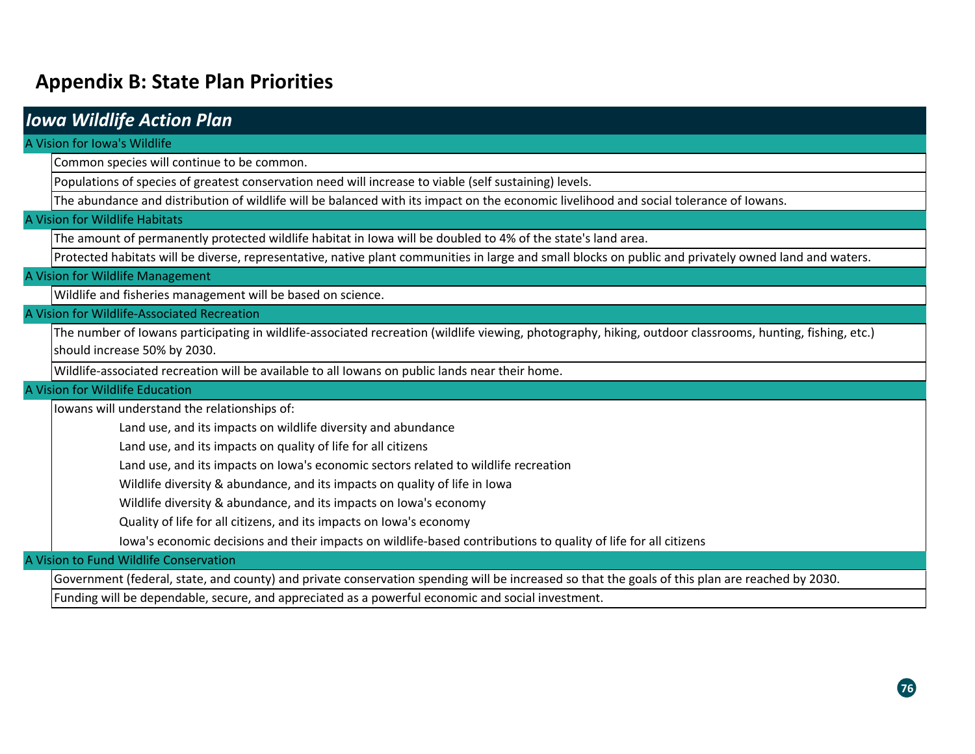# **Appendix B: State Plan Priorities**

| <b>Iowa Wildlife Action Plan</b>                                                                                                                         |  |  |
|----------------------------------------------------------------------------------------------------------------------------------------------------------|--|--|
| A Vision for Iowa's Wildlife                                                                                                                             |  |  |
| Common species will continue to be common.                                                                                                               |  |  |
| Populations of species of greatest conservation need will increase to viable (self sustaining) levels.                                                   |  |  |
| The abundance and distribution of wildlife will be balanced with its impact on the economic livelihood and social tolerance of Iowans.                   |  |  |
| A Vision for Wildlife Habitats                                                                                                                           |  |  |
| The amount of permanently protected wildlife habitat in lowa will be doubled to 4% of the state's land area.                                             |  |  |
| Protected habitats will be diverse, representative, native plant communities in large and small blocks on public and privately owned land and waters.    |  |  |
| A Vision for Wildlife Management                                                                                                                         |  |  |
| Wildlife and fisheries management will be based on science.                                                                                              |  |  |
| A Vision for Wildlife-Associated Recreation                                                                                                              |  |  |
| The number of lowans participating in wildlife-associated recreation (wildlife viewing, photography, hiking, outdoor classrooms, hunting, fishing, etc.) |  |  |
| should increase 50% by 2030.                                                                                                                             |  |  |
| Wildlife-associated recreation will be available to all lowans on public lands near their home.                                                          |  |  |
| A Vision for Wildlife Education                                                                                                                          |  |  |
| lowans will understand the relationships of:                                                                                                             |  |  |
| Land use, and its impacts on wildlife diversity and abundance                                                                                            |  |  |
| Land use, and its impacts on quality of life for all citizens                                                                                            |  |  |
| Land use, and its impacts on lowa's economic sectors related to wildlife recreation                                                                      |  |  |
| Wildlife diversity & abundance, and its impacts on quality of life in Iowa                                                                               |  |  |
| Wildlife diversity & abundance, and its impacts on Iowa's economy                                                                                        |  |  |
| Quality of life for all citizens, and its impacts on lowa's economy                                                                                      |  |  |
| lowa's economic decisions and their impacts on wildlife-based contributions to quality of life for all citizens                                          |  |  |
| A Vision to Fund Wildlife Conservation                                                                                                                   |  |  |
| Government (federal, state, and county) and private conservation spending will be increased so that the goals of this plan are reached by 2030.          |  |  |
| Funding will be dependable, secure, and appreciated as a powerful economic and social investment.                                                        |  |  |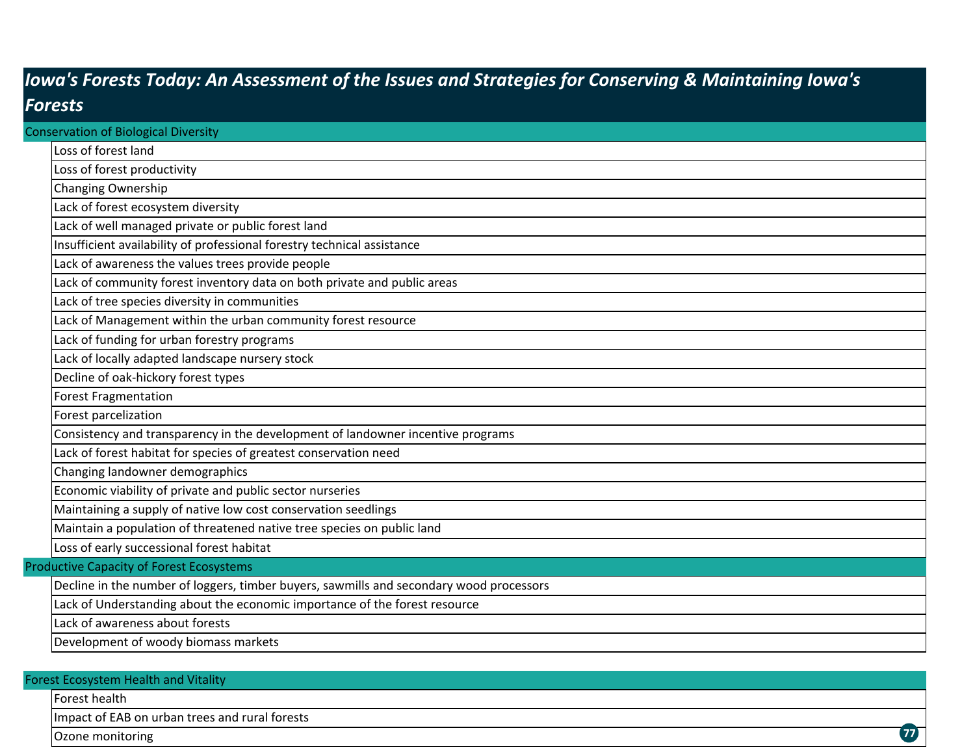# *Iowa's Forests Today: An Assessment of the Issues and Strategies for Conserving & Maintaining Iowa's Forests*

| <b>Conservation of Biological Diversity</b>     |                                                                                         |  |  |
|-------------------------------------------------|-----------------------------------------------------------------------------------------|--|--|
|                                                 | Loss of forest land                                                                     |  |  |
|                                                 | Loss of forest productivity                                                             |  |  |
|                                                 | Changing Ownership                                                                      |  |  |
|                                                 | Lack of forest ecosystem diversity                                                      |  |  |
|                                                 | Lack of well managed private or public forest land                                      |  |  |
|                                                 | Insufficient availability of professional forestry technical assistance                 |  |  |
|                                                 | Lack of awareness the values trees provide people                                       |  |  |
|                                                 | Lack of community forest inventory data on both private and public areas                |  |  |
|                                                 | Lack of tree species diversity in communities                                           |  |  |
|                                                 | Lack of Management within the urban community forest resource                           |  |  |
|                                                 | Lack of funding for urban forestry programs                                             |  |  |
|                                                 | Lack of locally adapted landscape nursery stock                                         |  |  |
|                                                 | Decline of oak-hickory forest types                                                     |  |  |
|                                                 | <b>Forest Fragmentation</b>                                                             |  |  |
|                                                 | Forest parcelization                                                                    |  |  |
|                                                 | Consistency and transparency in the development of landowner incentive programs         |  |  |
|                                                 | Lack of forest habitat for species of greatest conservation need                        |  |  |
|                                                 | Changing landowner demographics                                                         |  |  |
|                                                 | Economic viability of private and public sector nurseries                               |  |  |
|                                                 | Maintaining a supply of native low cost conservation seedlings                          |  |  |
|                                                 | Maintain a population of threatened native tree species on public land                  |  |  |
|                                                 | Loss of early successional forest habitat                                               |  |  |
| <b>Productive Capacity of Forest Ecosystems</b> |                                                                                         |  |  |
|                                                 | Decline in the number of loggers, timber buyers, sawmills and secondary wood processors |  |  |
|                                                 | Lack of Understanding about the economic importance of the forest resource              |  |  |
|                                                 | Lack of awareness about forests                                                         |  |  |
|                                                 | Development of woody biomass markets                                                    |  |  |
|                                                 |                                                                                         |  |  |

### Forest healthImpact of EAB on urban trees and rural forests Ozone monitoring Forest Ecosystem Health and Vitality **77**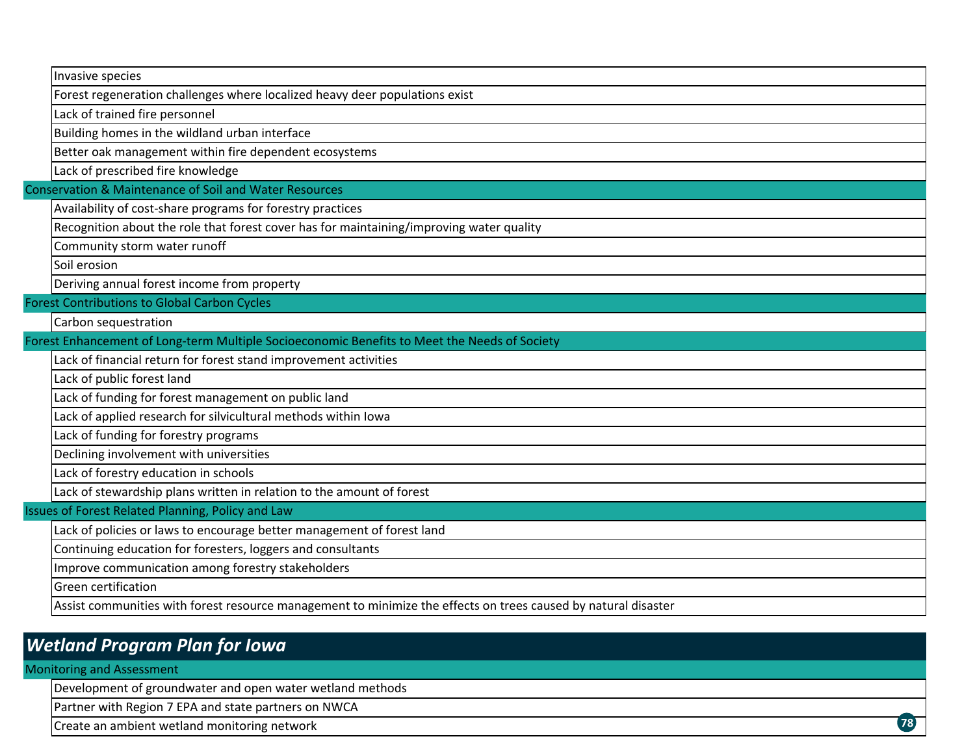|                                                        | Invasive species                                                                                               |  |  |
|--------------------------------------------------------|----------------------------------------------------------------------------------------------------------------|--|--|
|                                                        | Forest regeneration challenges where localized heavy deer populations exist                                    |  |  |
|                                                        | Lack of trained fire personnel                                                                                 |  |  |
|                                                        | Building homes in the wildland urban interface                                                                 |  |  |
|                                                        | Better oak management within fire dependent ecosystems                                                         |  |  |
|                                                        | Lack of prescribed fire knowledge                                                                              |  |  |
| Conservation & Maintenance of Soil and Water Resources |                                                                                                                |  |  |
|                                                        | Availability of cost-share programs for forestry practices                                                     |  |  |
|                                                        | Recognition about the role that forest cover has for maintaining/improving water quality                       |  |  |
|                                                        | Community storm water runoff                                                                                   |  |  |
|                                                        | Soil erosion                                                                                                   |  |  |
|                                                        | Deriving annual forest income from property                                                                    |  |  |
|                                                        | <b>Forest Contributions to Global Carbon Cycles</b>                                                            |  |  |
|                                                        | Carbon sequestration                                                                                           |  |  |
|                                                        | Forest Enhancement of Long-term Multiple Socioeconomic Benefits to Meet the Needs of Society                   |  |  |
|                                                        | Lack of financial return for forest stand improvement activities                                               |  |  |
|                                                        | Lack of public forest land                                                                                     |  |  |
|                                                        | Lack of funding for forest management on public land                                                           |  |  |
|                                                        | Lack of applied research for silvicultural methods within Iowa                                                 |  |  |
|                                                        | Lack of funding for forestry programs                                                                          |  |  |
|                                                        | Declining involvement with universities                                                                        |  |  |
|                                                        | Lack of forestry education in schools                                                                          |  |  |
|                                                        | Lack of stewardship plans written in relation to the amount of forest                                          |  |  |
|                                                        | Issues of Forest Related Planning, Policy and Law                                                              |  |  |
|                                                        | Lack of policies or laws to encourage better management of forest land                                         |  |  |
|                                                        | Continuing education for foresters, loggers and consultants                                                    |  |  |
|                                                        | Improve communication among forestry stakeholders                                                              |  |  |
|                                                        | <b>Green certification</b>                                                                                     |  |  |
|                                                        | Assist communities with forest resource management to minimize the effects on trees caused by natural disaster |  |  |
|                                                        |                                                                                                                |  |  |

### *Wetland Program Plan for Iowa*

### Monitoring and Assessment

Development of groundwater and open water wetland methods

Partner with Region 7 EPA and state partners on NWCA

Create an ambient wetland monitoring network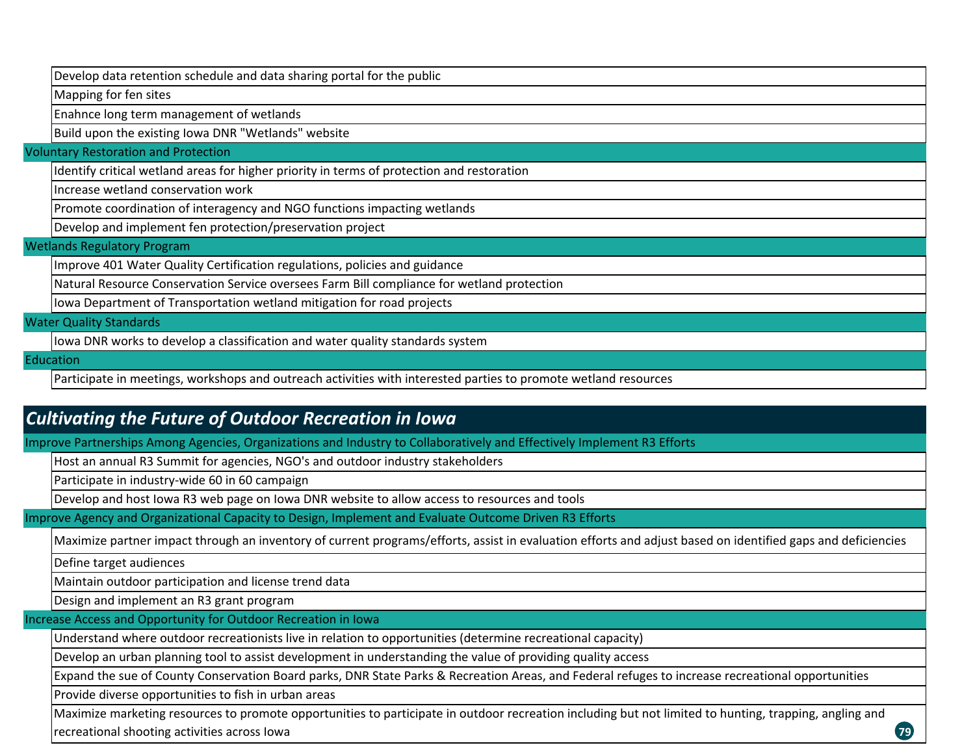Develop data retention schedule and data sharing portal for the public

Mapping for fen sites

Enahnce long term management of wetlands

Build upon the existing Iowa DNR "Wetlands" website

Voluntary Restoration and Protection

Identify critical wetland areas for higher priority in terms of protection and restoration

Increase wetland conservation work

Promote coordination of interagency and NGO functions impacting wetlands

Develop and implement fen protection/preservation project

#### Wetlands Regulatory Program

Improve 401 Water Quality Certification regulations, policies and guidance

Natural Resource Conservation Service oversees Farm Bill compliance for wetland protection

Iowa Department of Transportation wetland mitigation for road projects

Water Quality Standards

Iowa DNR works to develop <sup>a</sup> classification and water quality standards system

Education

Participate in meetings, workshops and outreach activities with interested parties to promote wetland resources

### *Cultivating the Future of Outdoor Recreation in Iowa*

Improve Partnerships Among Agencies, Organizations and Industry to Collaboratively and Effectively Implement R3 Efforts

Host an annual R3 Summit for agencies, NGO's and outdoor industry stakeholders

Participate in industry‐wide 60 in 60 campaign

Develop and host Iowa R3 web page on Iowa DNR website to allow access to resources and tools

Improve Agency and Organizational Capacity to Design, Implement and Evaluate Outcome Driven R3 Efforts

Maximize partner impact through an inventory of current programs/efforts, assist in evaluation efforts and adjust based on identified gaps and deficiencies

Define target audiences

Maintain outdoor participation and license trend data

Design and implement an R3 grant program

Increase Access and Opportunity for Outdoor Recreation in Iowa

Understand where outdoor recreationists live in relation to opportunities (determine recreational capacity)

Develop an urban planning tool to assist development in understanding the value of providing quality access

Expand the sue of County Conservation Board parks, DNR State Parks & Recreation Areas, and Federal refuges to increase recreational opportunities

Provide diverse opportunities to fish in urban areas

Maximize marketing resources to promote opportunities to participate in outdoor recreation including but not limited to hunting, trapping, angling and recreational shooting activities across Iowa

**79**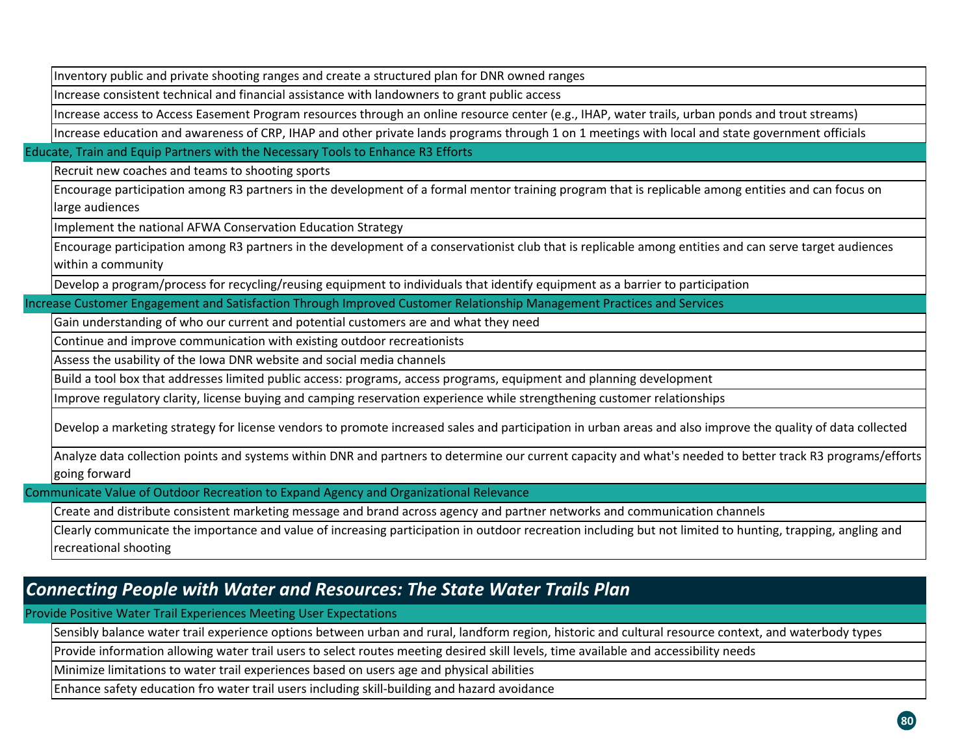Inventory public and private shooting ranges and create <sup>a</sup> structured plan for DNR owned ranges

Increase consistent technical and financial assistance with landowners to grant public access

Increase access to Access Easement Program resources through an online resource center (e.g., IHAP, water trails, urban ponds and trout streams)

Increase education and awareness of CRP, IHAP and other private lands programs through 1 on 1 meetings with local and state government officials

Educate, Train and Equip Partners with the Necessary Tools to Enhance R3 Efforts

Recruit new coaches and teams to shooting sports

Encourage participation among R3 partners in the development of <sup>a</sup> formal mentor training program that is replicable among entities and can focus on large audiences

Implement the national AFWA Conservation Education Strategy

Encourage participation among R3 partners in the development of <sup>a</sup> conservationist club that is replicable among entities and can serve target audiences within <sup>a</sup> community

Develop <sup>a</sup> program/process for recycling/reusing equipment to individuals that identify equipment as <sup>a</sup> barrier to participation

Increase Customer Engagement and Satisfaction Through Improved Customer Relationship Management Practices and Services

Gain understanding of who our current and potential customers are and what they need

Continue and improve communication with existing outdoor recreationists

Assess the usability of the Iowa DNR website and social media channels

Build <sup>a</sup> tool box that addresses limited public access: programs, access programs, equipment and planning development

Improve regulatory clarity, license buying and camping reservation experience while strengthening customer relationships

Develop <sup>a</sup> marketing strategy for license vendors to promote increased sales and participation in urban areas and also improve the quality of data collected

Analyze data collection points and systems within DNR and partners to determine our current capacity and what's needed to better track R3 programs/efforts going forward

Communicate Value of Outdoor Recreation to Expand Agency and Organizational Relevance

Create and distribute consistent marketing message and brand across agency and partner networks and communication channels

Clearly communicate the importance and value of increasing participation in outdoor recreation including but not limited to hunting, trapping, angling and recreational shooting

### *Connecting People with Water and Resources: The State Water Trails Plan*

Provide Positive Water Trail Experiences Meeting User Expectations

Sensibly balance water trail experience options between urban and rural, landform region, historic and cultural resource context, and waterbody types

Provide information allowing water trail users to select routes meeting desired skill levels, time available and accessibility needs

Minimize limitations to water trail experiences based on users age and physical abilities

Enhance safety education fro water trail users including skill‐building and hazard avoidance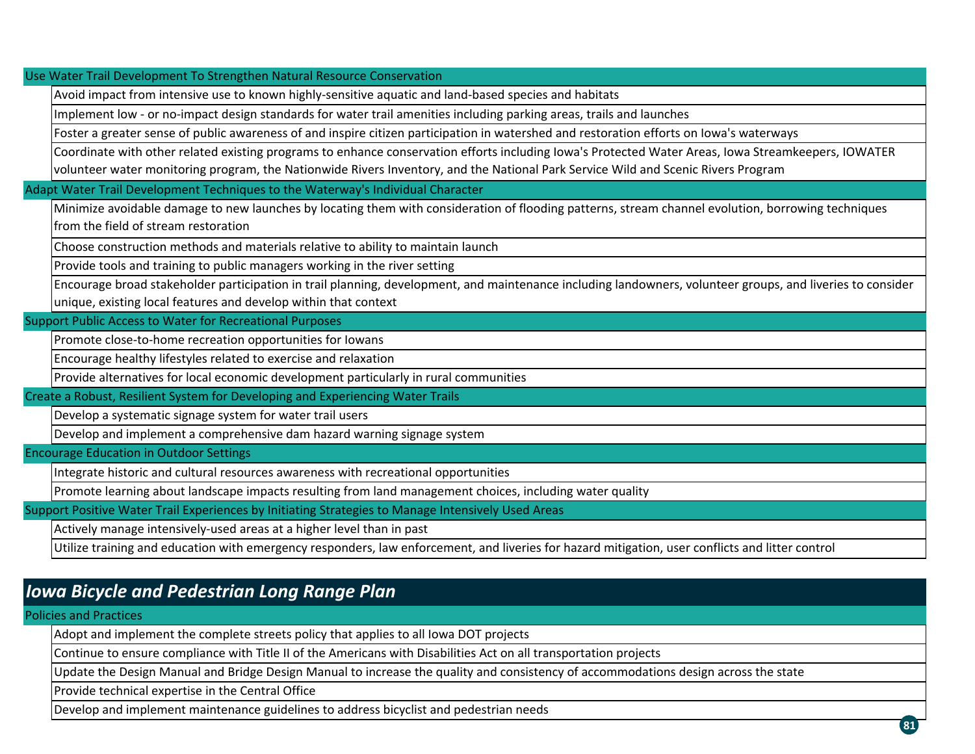Use Water Trail Development To Strengthen Natural Resource Conservation

Avoid impact from intensive use to known highly‐sensitive aquatic and land‐based species and habitats

Implement low - or no-impact design standards for water trail amenities including parking areas, trails and launches

Foster a greater sense of public awareness of and inspire citizen participation in watershed and restoration efforts on Iowa's waterways

Coordinate with other related existing programs to enhance conservation efforts including Iowa's Protected Water Areas, Iowa Streamkeepers, IOWATER volunteer water monitoring program, the Nationwide Rivers Inventory, and the National Park Service Wild and Scenic Rivers Program

Adapt Water Trail Development Techniques to the Waterway's Individual Character

Minimize avoidable damage to new launches by locating them with consideration of flooding patterns, stream channel evolution, borrowing techniques from the field of stream restoration

Choose construction methods and materials relative to ability to maintain launch

Provide tools and training to public managers working in the river setting

Encourage broad stakeholder participation in trail planning, development, and maintenance including landowners, volunteer groups, and liveries to consider unique, existing local features and develop within that context

Support Public Access to Water for Recreational Purposes

Promote close‐to‐home recreation opportunities for Iowans

Encourage healthy lifestyles related to exercise and relaxation

Provide alternatives for local economic development particularly in rural communities

Create <sup>a</sup> Robust, Resilient System for Developing and Experiencing Water Trails

Develop <sup>a</sup> systematic signage system for water trail users

Develop and implement <sup>a</sup> comprehensive dam hazard warning signage system

Encourage Education in Outdoor Settings

Integrate historic and cultural resources awareness with recreational opportunities

Promote learning about landscape impacts resulting from land management choices, including water quality

Support Positive Water Trail Experiences by Initiating Strategies to Manage Intensively Used Areas

Actively manage intensively‐used areas at <sup>a</sup> higher level than in past

Utilize training and education with emergency responders, law enforcement, and liveries for hazard mitigation, user conflicts and litter control

### *Iowa Bicycle and Pedestrian Long Range Plan*

Policies and Practices

Adopt and implement the complete streets policy that applies to all Iowa DOT projects

Continue to ensure compliance with Title II of the Americans with Disabilities Act on all transportation projects

Update the Design Manual and Bridge Design Manual to increase the quality and consistency of accommodations design across the state

Provide technical expertise in the Central Office

Develop and implement maintenance guidelines to address bicyclist and pedestrian needs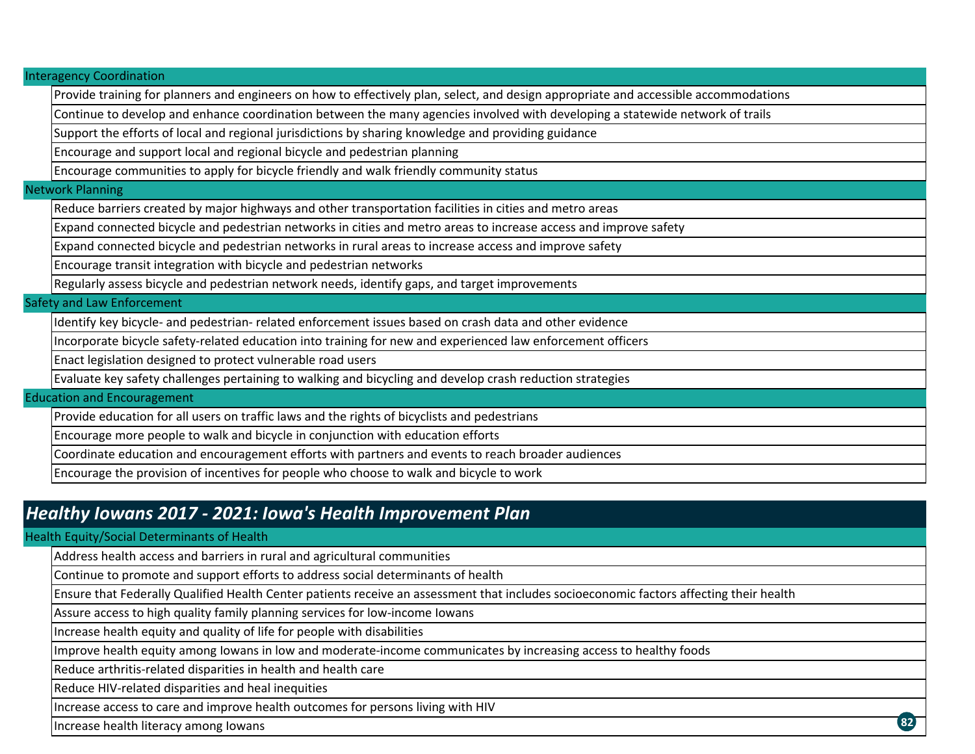Interagency Coordination

Provide training for planners and engineers on how to effectively plan, select, and design appropriate and accessible accommodations

Continue to develop and enhance coordination between the many agencies involved with developing <sup>a</sup> statewide network of trails

Support the efforts of local and regional jurisdictions by sharing knowledge and providing guidance

Encourage and support local and regional bicycle and pedestrian planning

Encourage communities to apply for bicycle friendly and walk friendly community status

#### Network Planning

Reduce barriers created by major highways and other transportation facilities in cities and metro areas

Expand connected bicycle and pedestrian networks in cities and metro areas to increase access and improve safety

Expand connected bicycle and pedestrian networks in rural areas to increase access and improve safety

Encourage transit integration with bicycle and pedestrian networks

Regularly assess bicycle and pedestrian network needs, identify gaps, and target improvements

#### Safety and Law Enforcement

Identify key bicycle‐ and pedestrian‐ related enforcement issues based on crash data and other evidence

Incorporate bicycle safety‐related education into training for new and experienced law enforcement officers

Enact legislation designed to protect vulnerable road users

Evaluate key safety challenges pertaining to walking and bicycling and develop crash reduction strategies

#### Education and Encouragement

Provide education for all users on traffic laws and the rights of bicyclists and pedestrians

Encourage more people to walk and bicycle in conjunction with education efforts

Coordinate education and encouragement efforts with partners and events to reach broader audiences

Encourage the provision of incentives for people who choose to walk and bicycle to work

## *Healthy Iowans 2017 ‐ 2021: Iowa's Health Improvement Plan*

#### Health Equity/Social Determinants of Health

Address health access and barriers in rural and agricultural communities

Continue to promote and support efforts to address social determinants of health

Ensure that Federally Qualified Health Center patients receive an assessment that includes socioeconomic factors affecting their health

Assure access to high quality family planning services for low‐income Iowans

Increase health equity and quality of life for people with disabilities

Improve health equity among Iowans in low and moderate‐income communicates by increasing access to healthy foods

Reduce arthritis‐related disparities in health and health care

Reduce HIV‐related disparities and heal inequities

Increase access to care and improve health outcomes for persons living with HIV

Increase health literacy among Iowans

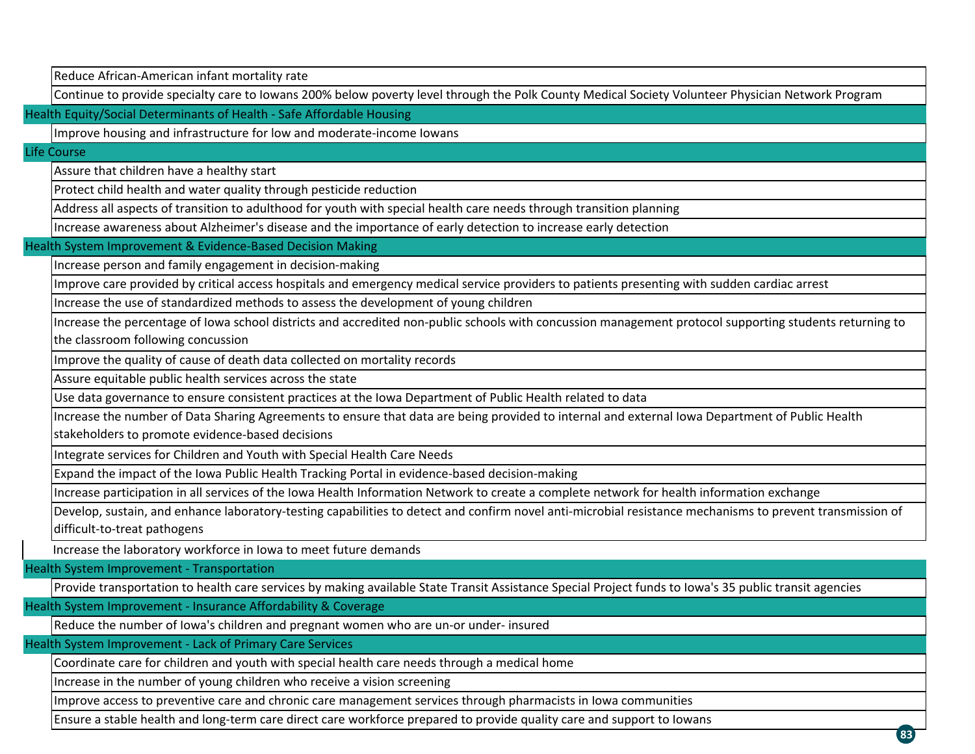Reduce African‐American infant mortality rate

Continue to provide specialty care to Iowans 200% below poverty level through the Polk County Medical Society Volunteer Physician Network Program

Health Equity/Social Determinants of Health ‐ Safe Affordable Housing

Improve housing and infrastructure for low and moderate‐income Iowans

Life Course

Assure that children have <sup>a</sup> healthy start

Protect child health and water quality through pesticide reduction

Address all aspects of transition to adulthood for youth with special health care needs through transition planning

Increase awareness about Alzheimer's disease and the importance of early detection to increase early detection

Health System Improvement & Evidence‐Based Decision Making

Increase person and family engagement in decision‐making

Improve care provided by critical access hospitals and emergency medical service providers to patients presenting with sudden cardiac arrest

Increase the use of standardized methods to assess the development of young children

Increase the percentage of Iowa school districts and accredited non‐public schools with concussion management protocol supporting students returning to

the classroom following concussion

Improve the quality of cause of death data collected on mortality records

Assure equitable public health services across the state

Use data governance to ensure consistent practices at the Iowa Department of Public Health related to data

Increase the number of Data Sharing Agreements to ensure that data are being provided to internal and external Iowa Department of Public Health

stakeholders to promote evidence‐based decisions

Integrate services for Children and Youth with Special Health Care Needs

Expand the impact of the Iowa Public Health Tracking Portal in evidence‐based decision‐making

Increase participation in all services of the Iowa Health Information Network to create <sup>a</sup> complete network for health information exchange

Develop, sustain, and enhance laboratory-testing capabilities to detect and confirm novel anti-microbial resistance mechanisms to prevent transmission of difficult‐to‐treat pathogens

**83**

Increase the laboratory workforce in Iowa to meet future demands

Health System Improvement ‐ Transportation

Provide transportation to health care services by making available State Transit Assistance Special Project funds to Iowa's 35 public transit agencies

Health System Improvement ‐ Insurance Affordability & Coverage

Reduce the number of Iowa's children and pregnant women who are un‐or under‐ insured

Health System Improvement ‐ Lack of Primary Care Services

Coordinate care for children and youth with special health care needs through <sup>a</sup> medical home

Increase in the number of young children who receive <sup>a</sup> vision screening

Improve access to preventive care and chronic care management services through pharmacists in Iowa communities

Ensure <sup>a</sup> stable health and long‐term care direct care workforce prepared to provide quality care and support to Iowans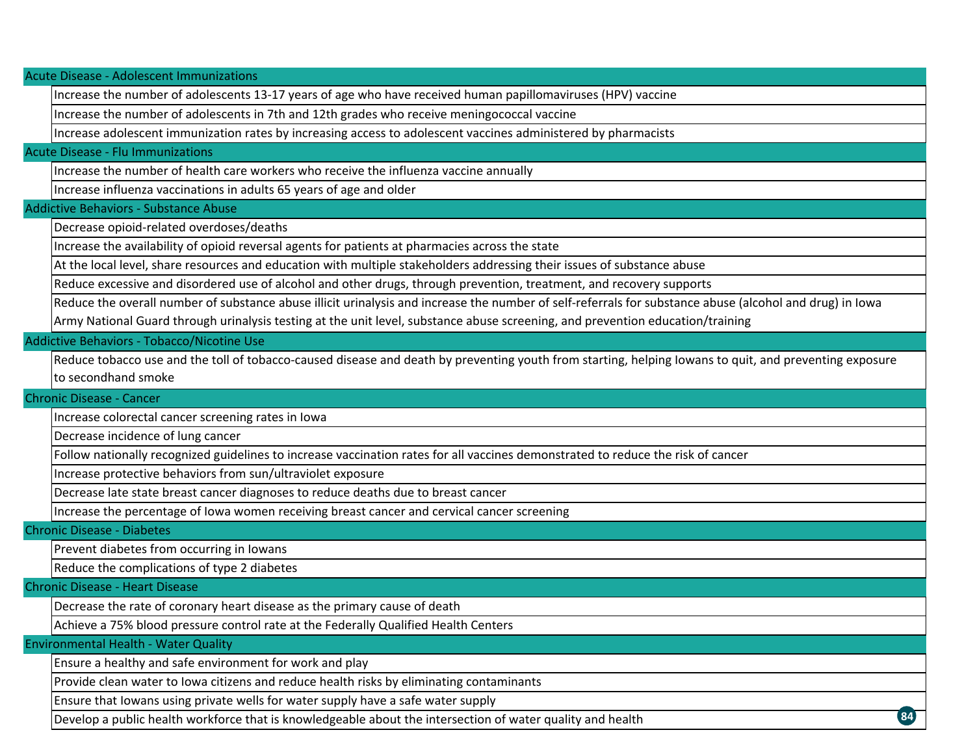Acute Disease ‐ Adolescent Immunizations

Increase the number of adolescents 13‐17 years of age who have received human papillomaviruses (HPV) vaccine

Increase the number of adolescents in 7th and 12th grades who receive meningococcal vaccine

Increase adolescent immunization rates by increasing access to adolescent vaccines administered by pharmacists

#### Acute Disease ‐ Flu Immunizations

Increase the number of health care workers who receive the influenza vaccine annually

Increase influenza vaccinations in adults 65 years of age and older

#### Addictive Behaviors ‐ Substance Abuse

Decrease opioid‐related overdoses/deaths

Increase the availability of opioid reversal agents for patients at pharmacies across the state

At the local level, share resources and education with multiple stakeholders addressing their issues of substance abuse

Reduce excessive and disordered use of alcohol and other drugs, through prevention, treatment, and recovery supports

Reduce the overall number of substance abuse illicit urinalysis and increase the number of self‐referrals for substance abuse (alcohol and drug) in Iowa Army National Guard through urinalysis testing at the unit level, substance abuse screening, and prevention education/training

#### Addictive Behaviors ‐ Tobacco/Nicotine Use

Reduce tobacco use and the toll of tobacco‐caused disease and death by preventing youth from starting, helping Iowans to quit, and preventing exposure to secondhand smoke

**84**

#### Chronic Disease ‐ Cancer

Increase colorectal cancer screening rates in Iowa

Decrease incidence of lung cancer

Follow nationally recognized guidelines to increase vaccination rates for all vaccines demonstrated to reduce the risk of cancer

Increase protective behaviors from sun/ultraviolet exposure

Decrease late state breast cancer diagnoses to reduce deaths due to breast cancer

Increase the percentage of Iowa women receiving breast cancer and cervical cancer screening

Chronic Disease ‐ Diabetes

Prevent diabetes from occurring in Iowans

Reduce the complications of type 2 diabetes

Chronic Disease ‐ Heart Disease

Decrease the rate of coronary heart disease as the primary cause of death

Achieve <sup>a</sup> 75% blood pressure control rate at the Federally Qualified Health Centers

Environmental Health ‐ Water Quality

Ensure <sup>a</sup> healthy and safe environment for work and play

Provide clean water to Iowa citizens and reduce health risks by eliminating contaminants

Ensure that Iowans using private wells for water supply have <sup>a</sup> safe water supply

Develop <sup>a</sup> public health workforce that is knowledgeable about the intersection of water quality and health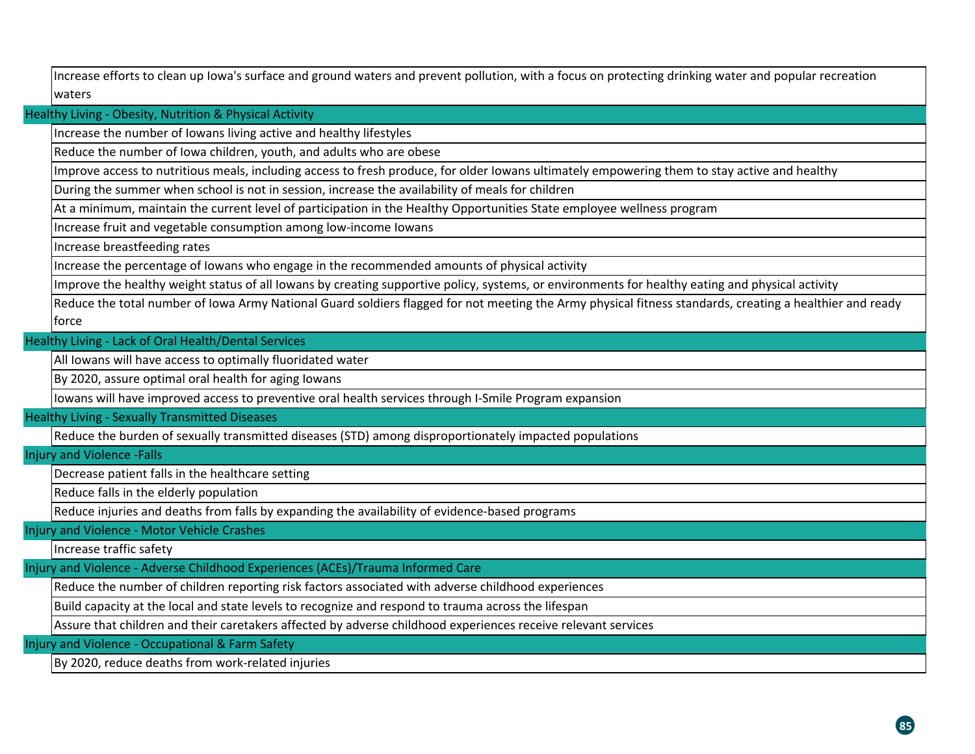Increase efforts to clean up Iowa's surface and ground waters and prevent pollution, with <sup>a</sup> focus on protecting drinking water and popular recreation waters

Healthy Living ‐ Obesity, Nutrition & Physical Activity

Increase the number of Iowans living active and healthy lifestyles

Reduce the number of Iowa children, youth, and adults who are obese

Improve access to nutritious meals, including access to fresh produce, for older Iowans ultimately empowering them to stay active and healthy

During the summer when school is not in session, increase the availability of meals for children

At a minimum, maintain the current level of participation in the Healthy Opportunities State employee wellness program

Increase fruit and vegetable consumption among low‐income Iowans

Increase breastfeeding rates

Increase the percentage of Iowans who engage in the recommended amounts of physical activity

Improve the healthy weight status of all Iowans by creating supportive policy, systems, or environments for healthy eating and physical activity

Reduce the total number of Iowa Army National Guard soldiers flagged for not meeting the Army physical fitness standards, creating <sup>a</sup> healthier and ready force

Healthy Living ‐ Lack of Oral Health/Dental Services

All Iowans will have access to optimally fluoridated water

By 2020, assure optimal oral health for aging Iowans

Iowans will have improved access to preventive oral health services through I‐Smile Program expansion

Healthy Living ‐ Sexually Transmitted Diseases

Reduce the burden of sexually transmitted diseases (STD) among disproportionately impacted populations

Injury and Violence ‐Falls

Decrease patient falls in the healthcare setting

Reduce falls in the elderly population

Reduce injuries and deaths from falls by expanding the availability of evidence‐based programs

Injury and Violence ‐ Motor Vehicle Crashes

Increase traffic safety

Injury and Violence ‐ Adverse Childhood Experiences (ACEs)/Trauma Informed Care

Reduce the number of children reporting risk factors associated with adverse childhood experiences

Build capacity at the local and state levels to recognize and respond to trauma across the lifespan

Assure that children and their caretakers affected by adverse childhood experiences receive relevant services

Injury and Violence ‐ Occupational & Farm Safety

By 2020, reduce deaths from work‐related injuries